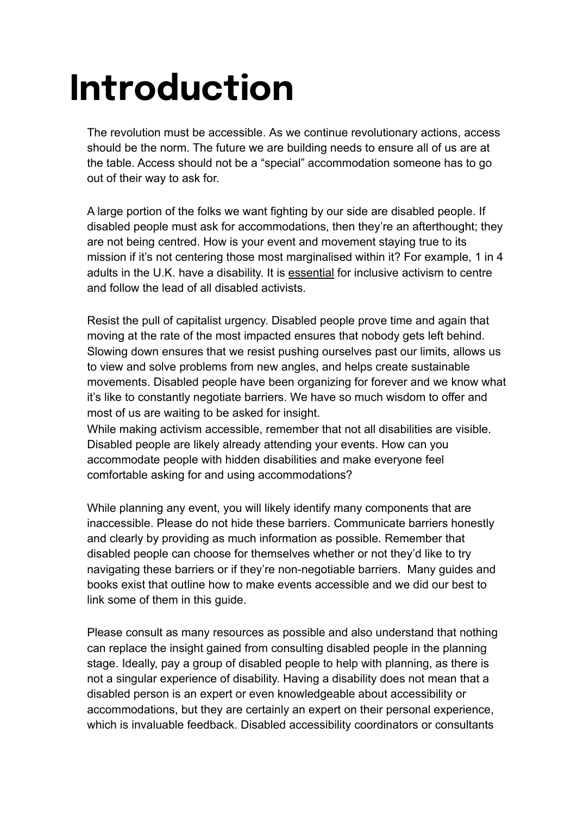# **Introduction**

The revolution must be accessible. As we continue revolutionary actions, access should be the norm. The future we are building needs to ensure all of us are at the table. Access should not be a "special" accommodation someone has to go out of their way to ask for.

A large portion of the folks we want fighting by our side are disabled people. If disabled people must ask for accommodations, then they're an afterthought; they are not being centred. How is your event and movement staying true to its mission if it's not centering those most marginalised within it? For example, 1 in 4 adults in the U.K. have a disability. It is essential for inclusive activism to centre and follow the lead of all disabled activists.

Resist the pull of capitalist urgency. Disabled people prove time and again that moving at the rate of the most impacted ensures that nobody gets left behind. Slowing down ensures that we resist pushing ourselves past our limits, allows us to view and solve problems from new angles, and helps create sustainable movements. Disabled people have been organizing for forever and we know what it's like to constantly negotiate barriers. We have so much wisdom to offer and most of us are waiting to be asked for insight.

While making activism accessible, remember that not all disabilities are visible. Disabled people are likely already attending your events. How can you accommodate people with hidden disabilities and make everyone feel comfortable asking for and using accommodations?

While planning any event, you will likely identify many components that are inaccessible. Please do not hide these barriers. Communicate barriers honestly and clearly by providing as much information as possible. Remember that disabled people can choose for themselves whether or not they'd like to try navigating these barriers or if they're non-negotiable barriers. Many guides and books exist that outline how to make events accessible and we did our best to link some of them in this guide.

Please consult as many resources as possible and also understand that nothing can replace the insight gained from consulting disabled people in the planning stage. Ideally, pay a group of disabled people to help with planning, as there is not a singular experience of disability. Having a disability does not mean that a disabled person is an expert or even knowledgeable about accessibility or accommodations, but they are certainly an expert on their personal experience, which is invaluable feedback. Disabled accessibility coordinators or consultants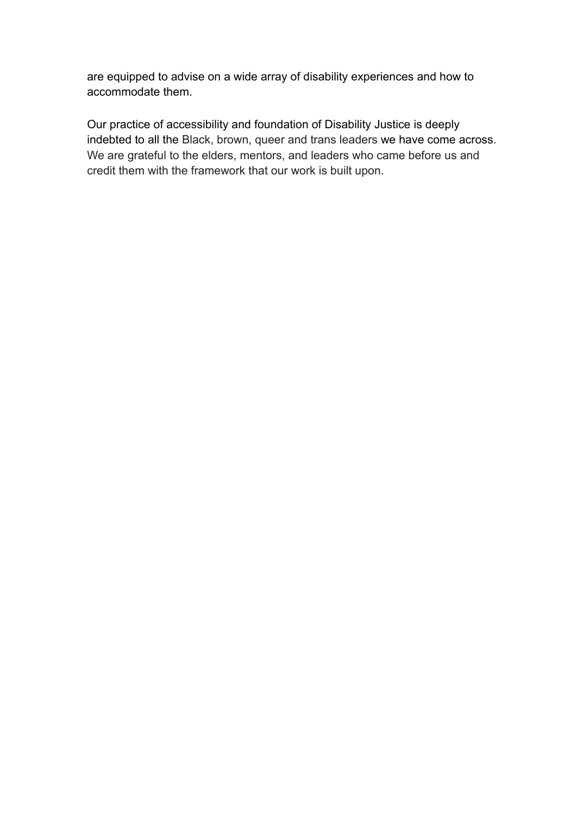are equipped to advise on a wide array of disability experiences and how to accommodate them.

Our practice of accessibility and foundation of Disability Justice is deeply indebted to all the Black, brown, queer and trans leaders we have come across. We are grateful to the elders, mentors, and leaders who came before us and credit them with the framework that our work is built upon.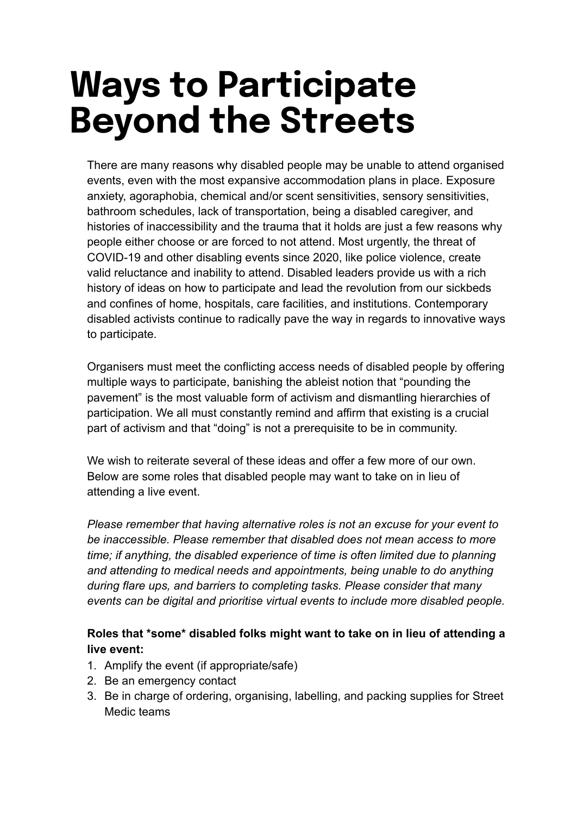# **Ways to Participate Beyond the Streets**

There are many reasons why disabled people may be unable to attend organised events, even with the most expansive accommodation plans in place. Exposure anxiety, agoraphobia, chemical and/or scent sensitivities, sensory sensitivities, bathroom schedules, lack of transportation, being a disabled caregiver, and histories of inaccessibility and the trauma that it holds are just a few reasons why people either choose or are forced to not attend. Most urgently, the threat of COVID-19 and other disabling events since 2020, like police violence, create valid reluctance and inability to attend. Disabled leaders provide us with a rich history of ideas on how to participate and lead the revolution from our sickbeds and confines of home, hospitals, care facilities, and institutions. Contemporary disabled activists continue to radically pave the way in regards to innovative ways to participate.

Organisers must meet the conflicting access needs of disabled people by offering multiple ways to participate, banishing the ableist notion that "pounding the pavement" is the most valuable form of activism and dismantling hierarchies of participation. We all must constantly remind and affirm that existing is a crucial part of activism and that "doing" is not a prerequisite to be in community.

We wish to reiterate several of these ideas and offer a few more of our own. Below are some roles that disabled people may want to take on in lieu of attending a live event.

*Please remember that having alternative roles is not an excuse for your event to be inaccessible. Please remember that disabled does not mean access to more time; if anything, the disabled experience of time is often limited due to planning and attending to medical needs and appointments, being unable to do anything during flare ups, and barriers to completing tasks. Please consider that many events can be digital and prioritise virtual events to include more disabled people.*

#### **Roles that \*some\* disabled folks might want to take on in lieu of attending a live event:**

- 1. Amplify the event (if appropriate/safe)
- 2. Be an emergency contact
- 3. Be in charge of ordering, organising, labelling, and packing supplies for Street Medic teams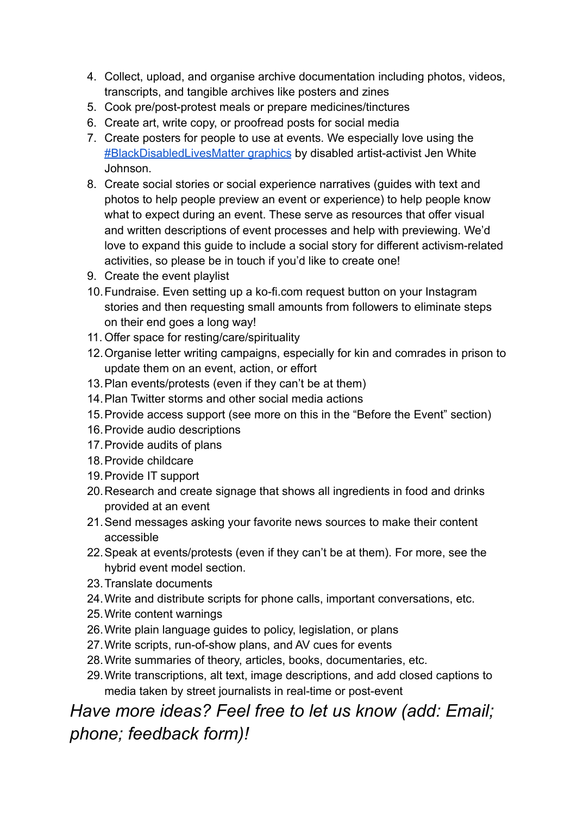- 4. Collect, upload, and organise archive documentation including photos, videos, transcripts, and tangible archives like posters and zines
- 5. Cook pre/post-protest meals or prepare medicines/tinctures
- 6. Create art, write copy, or proofread posts for social media
- 7. Create posters for people to use at events. We especially love using the [#BlackDisabledLivesMatter graphics](https://jenwhitejohnson.com/) by disabled artist-activist Jen White Johnson.
- 8. Create social stories or social experience narratives (guides with text and photos to help people preview an event or experience) to help people know what to expect during an event. These serve as resources that offer visual and written descriptions of event processes and help with previewing. We'd love to expand this guide to include a social story for different activism-related activities, so please be in touch if you'd like to create one!
- 9. Create the event playlist
- 10.Fundraise. Even setting up a ko-fi.com request button on your Instagram stories and then requesting small amounts from followers to eliminate steps on their end goes a long way!
- 11. Offer space for resting/care/spirituality
- 12.Organise letter writing campaigns, especially for kin and comrades in prison to update them on an event, action, or effort
- 13.Plan events/protests (even if they can't be at them)
- 14.Plan Twitter storms and other social media actions
- 15.Provide access support (see more on this in the "Before the Event" section)
- 16.Provide audio descriptions
- 17.Provide audits of plans
- 18.Provide childcare
- 19.Provide IT support
- 20.Research and create signage that shows all ingredients in food and drinks provided at an event
- 21.Send messages asking your favorite news sources to make their content accessible
- 22.Speak at events/protests (even if they can't be at them). For more, see the hybrid event model section.
- 23.Translate documents
- 24.Write and distribute scripts for phone calls, important conversations, etc.
- 25.Write content warnings
- 26.Write plain language guides to policy, legislation, or plans
- 27.Write scripts, run-of-show plans, and AV cues for events
- 28.Write summaries of theory, articles, books, documentaries, etc.
- 29.Write transcriptions, alt text, image descriptions, and add closed captions to media taken by street journalists in real-time or post-event

# *Have more ideas? Feel free to let us know (add: Email; phone; feedback form)!*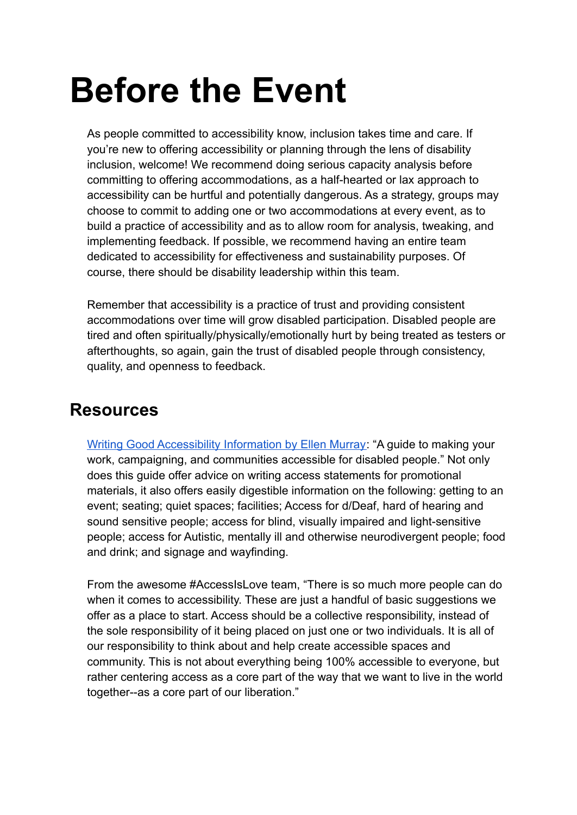# **Before the Event**

As people committed to accessibility know, inclusion takes time and care. If you're new to offering accessibility or planning through the lens of disability inclusion, welcome! We recommend doing serious capacity analysis before committing to offering accommodations, as a half-hearted or lax approach to accessibility can be hurtful and potentially dangerous. As a strategy, groups may choose to commit to adding one or two accommodations at every event, as to build a practice of accessibility and as to allow room for analysis, tweaking, and implementing feedback. If possible, we recommend having an entire team dedicated to accessibility for effectiveness and sustainability purposes. Of course, there should be disability leadership within this team.

Remember that accessibility is a practice of trust and providing consistent accommodations over time will grow disabled participation. Disabled people are tired and often spiritually/physically/emotionally hurt by being treated as testers or afterthoughts, so again, gain the trust of disabled people through consistency, quality, and openness to feedback.

# **Resources**

[Writing Good Accessibility Information by Ellen Murray:](https://ellenfromnowon.co.uk/wp-content/uploads/2017/12/WritingGoodAccessibilityInformation.pdf) "A guide to making your work, campaigning, and communities accessible for disabled people." Not only does this guide offer advice on writing access statements for promotional materials, it also offers easily digestible information on the following: getting to an event; seating; quiet spaces; facilities; Access for d/Deaf, hard of hearing and sound sensitive people; access for blind, visually impaired and light-sensitive people; access for Autistic, mentally ill and otherwise neurodivergent people; food and drink; and signage and wayfinding.

[From the awesome #AccessIsLove team, "There is so much more people can do](https://www.disabilityintersectionalitysummit.com/places-to-start) [when it comes to accessibility. These are just a handful of basic suggestions we](https://www.disabilityintersectionalitysummit.com/places-to-start) [offer as a place to start. Access should be a collective responsibility, instead of](https://www.disabilityintersectionalitysummit.com/places-to-start) [the sole responsibility of it being placed on just one or two individuals. It is all of](https://www.disabilityintersectionalitysummit.com/places-to-start) [our responsibility to think about and help create accessible spaces and](https://www.disabilityintersectionalitysummit.com/places-to-start) [community. This is not about everything being 100% accessible to everyone, but](https://www.disabilityintersectionalitysummit.com/places-to-start) [rather centering access as a core part of the way that we want to live in the world](https://www.disabilityintersectionalitysummit.com/places-to-start) [together--as a core part of our liberation."](https://www.disabilityintersectionalitysummit.com/places-to-start)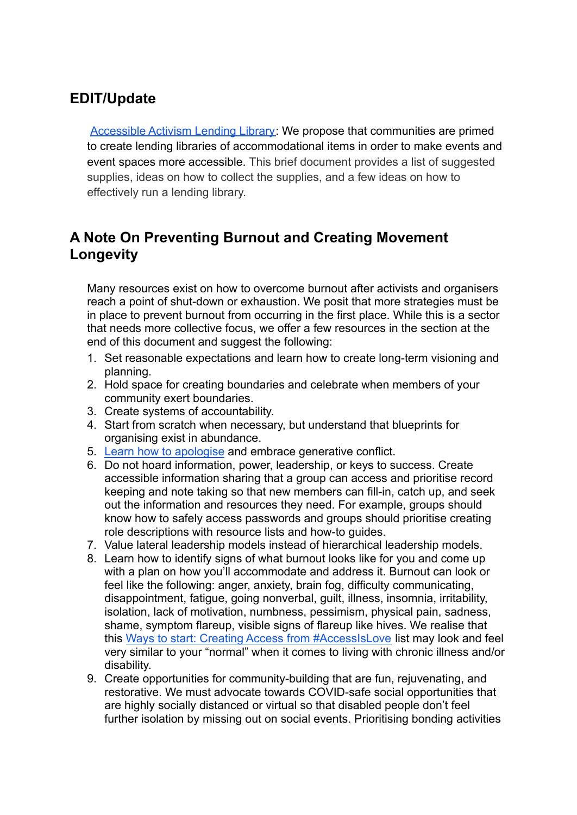# **EDIT/Update**

[Accessible Activism Lending Library:](https://docs.google.com/document/d/17_9V9pkKAYpCEgluid05CA9_5x7uFmsIILiHBjp_g-w/edit?usp=sharing) We propose that communities are primed to create lending libraries of accommodational items in order to make events and event spaces more accessible. This brief document provides a list of suggested supplies, ideas on how to collect the supplies, and a few ideas on how to effectively run a lending library.

# **A Note On Preventing Burnout and Creating Movement Longevity**

Many resources exist on how to overcome burnout after activists and organisers reach a point of shut-down or exhaustion. We posit that more strategies must be in place to prevent burnout from occurring in the first place. While this is a sector that needs more collective focus, we offer a few resources in the section at the end of this document and suggest the following:

- 1. Set reasonable expectations and learn how to create long-term visioning and planning.
- 2. Hold space for creating boundaries and celebrate when members of your community exert boundaries.
- 3. Create systems of accountability.
- 4. Start from scratch when necessary, but understand that blueprints for organising exist in abundance.
- 5. [Learn how to apologise](https://leavingevidence.wordpress.com/2019/12/18/how-to-give-a-good-apology-part-1-the-four-parts-of-accountability/) and embrace generative conflict.
- 6. Do not hoard information, power, leadership, or keys to success. Create accessible information sharing that a group can access and prioritise record keeping and note taking so that new members can fill-in, catch up, and seek out the information and resources they need. For example, groups should know how to safely access passwords and groups should prioritise creating role descriptions with resource lists and how-to guides.
- 7. Value lateral leadership models instead of hierarchical leadership models.
- 8. Learn how to identify signs of what burnout looks like for you and come up with a plan on how you'll accommodate and address it. Burnout can look or feel like the following: anger, anxiety, brain fog, difficulty communicating, disappointment, fatigue, going nonverbal, guilt, illness, insomnia, irritability, isolation, lack of motivation, numbness, pessimism, physical pain, sadness, shame, symptom flareup, visible signs of flareup like hives. We realise that this [Ways to start: Creating Access from #AccessIsLove](https://www.disabilityintersectionalitysummit.com/places-to-start) list may look and feel very similar to your "normal" when it comes to living with chronic illness and/or disability.
- 9. Create opportunities for community-building that are fun, rejuvenating, and restorative. We must advocate towards COVID-safe social opportunities that are highly socially distanced or virtual so that disabled people don't feel further isolation by missing out on social events. Prioritising bonding activities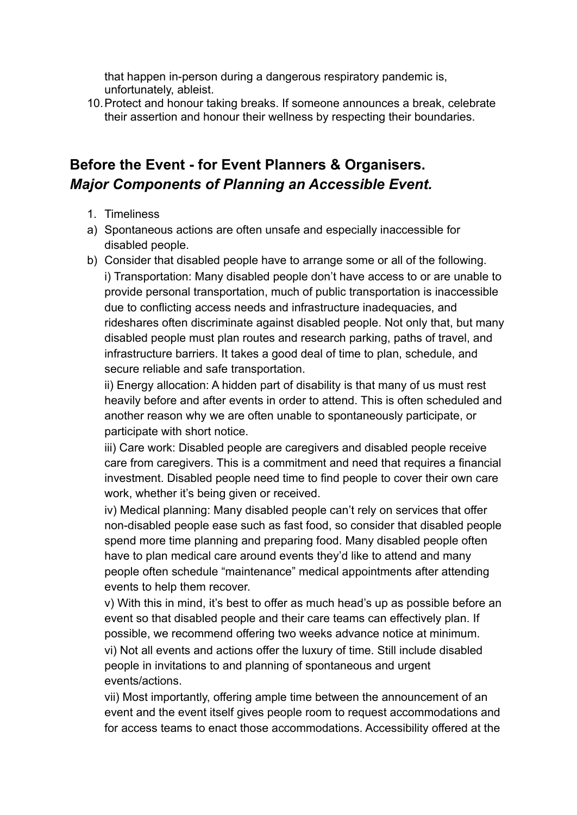that happen in-person during a dangerous respiratory pandemic is, unfortunately, ableist.

10.Protect and honour taking breaks. If someone announces a break, celebrate their assertion and honour their wellness by respecting their boundaries.

# **Before the Event - for Event Planners & Organisers.** *Major Components of Planning an Accessible Event.*

- 1. Timeliness
- a) Spontaneous actions are often unsafe and especially inaccessible for disabled people.
- b) Consider that disabled people have to arrange some or all of the following. i) Transportation: Many disabled people don't have access to or are unable to provide personal transportation, much of public transportation is inaccessible due to conflicting access needs and infrastructure inadequacies, and rideshares often discriminate against disabled people. Not only that, but many disabled people must plan routes and research parking, paths of travel, and infrastructure barriers. It takes a good deal of time to plan, schedule, and secure reliable and safe transportation.

ii) Energy allocation: A hidden part of disability is that many of us must rest heavily before and after events in order to attend. This is often scheduled and another reason why we are often unable to spontaneously participate, or participate with short notice.

iii) Care work: Disabled people are caregivers and disabled people receive care from caregivers. This is a commitment and need that requires a financial investment. Disabled people need time to find people to cover their own care work, whether it's being given or received.

iv) Medical planning: Many disabled people can't rely on services that offer non-disabled people ease such as fast food, so consider that disabled people spend more time planning and preparing food. Many disabled people often have to plan medical care around events they'd like to attend and many people often schedule "maintenance" medical appointments after attending events to help them recover.

v) With this in mind, it's best to offer as much head's up as possible before an event so that disabled people and their care teams can effectively plan. If possible, we recommend offering two weeks advance notice at minimum. vi) Not all events and actions offer the luxury of time. Still include disabled people in invitations to and planning of spontaneous and urgent events/actions.

vii) Most importantly, offering ample time between the announcement of an event and the event itself gives people room to request accommodations and for access teams to enact those accommodations. Accessibility offered at the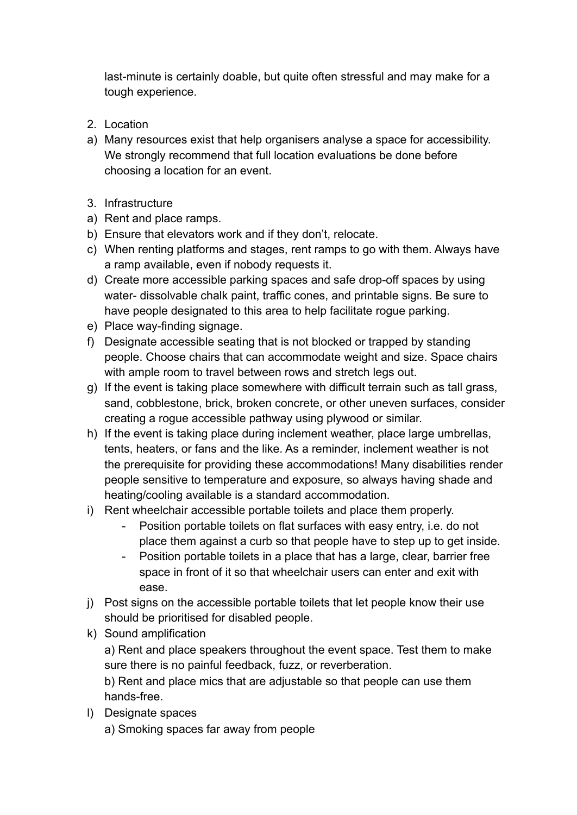last-minute is certainly doable, but quite often stressful and may make for a tough experience.

- 2. Location
- a) Many resources exist that help organisers analyse a space for accessibility. We strongly recommend that full location evaluations be done before choosing a location for an event.
- 3. Infrastructure
- a) Rent and place ramps.
- b) Ensure that elevators work and if they don't, relocate.
- c) When renting platforms and stages, rent ramps to go with them. Always have a ramp available, even if nobody requests it.
- d) Create more accessible parking spaces and safe drop-off spaces by using water- dissolvable chalk paint, traffic cones, and printable signs. Be sure to have people designated to this area to help facilitate rogue parking.
- e) Place way-finding signage.
- f) Designate accessible seating that is not blocked or trapped by standing people. Choose chairs that can accommodate weight and size. Space chairs with ample room to travel between rows and stretch legs out.
- g) If the event is taking place somewhere with difficult terrain such as tall grass, sand, cobblestone, brick, broken concrete, or other uneven surfaces, consider creating a rogue accessible pathway using plywood or similar.
- h) If the event is taking place during inclement weather, place large umbrellas, tents, heaters, or fans and the like. As a reminder, inclement weather is not the prerequisite for providing these accommodations! Many disabilities render people sensitive to temperature and exposure, so always having shade and heating/cooling available is a standard accommodation.
- i) Rent wheelchair accessible portable toilets and place them properly.
	- Position portable toilets on flat surfaces with easy entry, i.e. do not place them against a curb so that people have to step up to get inside.
	- Position portable toilets in a place that has a large, clear, barrier free space in front of it so that wheelchair users can enter and exit with ease.
- j) Post signs on the accessible portable toilets that let people know their use should be prioritised for disabled people.
- k) Sound amplification

a) Rent and place speakers throughout the event space. Test them to make sure there is no painful feedback, fuzz, or reverberation.

b) Rent and place mics that are adjustable so that people can use them hands-free.

l) Designate spaces

a) Smoking spaces far away from people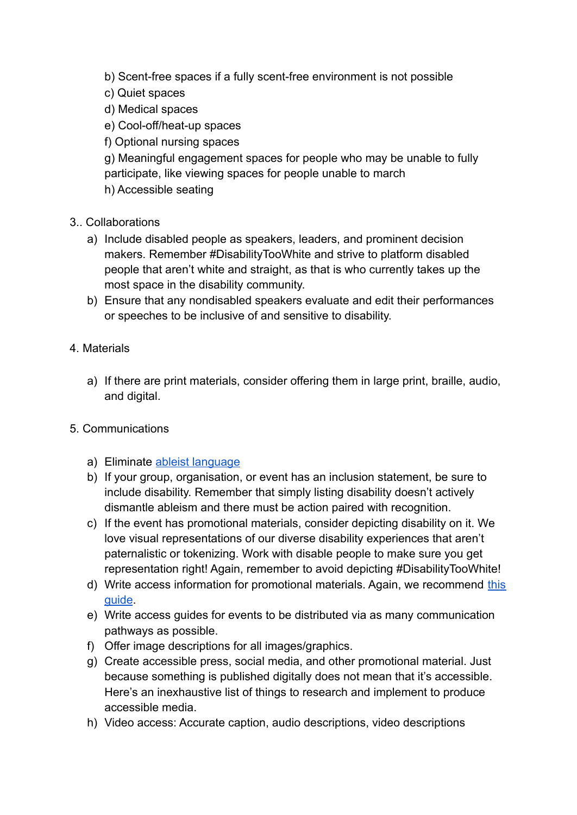- b) Scent-free spaces if a fully scent-free environment is not possible
- c) Quiet spaces
- d) Medical spaces
- e) Cool-off/heat-up spaces
- f) Optional nursing spaces

g) Meaningful engagement spaces for people who may be unable to fully participate, like viewing spaces for people unable to march h) Accessible seating

- 3.. Collaborations
	- a) Include disabled people as speakers, leaders, and prominent decision makers. Remember #DisabilityTooWhite and strive to platform disabled people that aren't white and straight, as that is who currently takes up the most space in the disability community.
	- b) Ensure that any nondisabled speakers evaluate and edit their performances or speeches to be inclusive of and sensitive to disability.
- 4. Materials
	- a) If there are print materials, consider offering them in large print, braille, audio, and digital.

#### 5. Communications

- a) Eliminate [ableist language](https://www.autistichoya.com/p/ableist-words-and-terms-to-avoid.html)
- b) If your group, organisation, or event has an inclusion statement, be sure to include disability. Remember that simply listing disability doesn't actively dismantle ableism and there must be action paired with recognition.
- c) If the event has promotional materials, consider depicting disability on it. We love visual representations of our diverse disability experiences that aren't paternalistic or tokenizing. Work with disable people to make sure you get representation right! Again, remember to avoid depicting #DisabilityTooWhite!
- d) Write access information for promotional materials. Again, we recommend [this](https://ellenfromnowon.co.uk/wp-content/uploads/2017/12/WritingGoodAccessibilityInformation.pdf) [guide](https://ellenfromnowon.co.uk/wp-content/uploads/2017/12/WritingGoodAccessibilityInformation.pdf).
- e) Write access guides for events to be distributed via as many communication pathways as possible.
- f) Offer image descriptions for all images/graphics.
- g) Create accessible press, social media, and other promotional material. Just because something is published digitally does not mean that it's accessible. Here's an inexhaustive list of things to research and implement to produce accessible media.
- h) Video access: Accurate caption, audio descriptions, video descriptions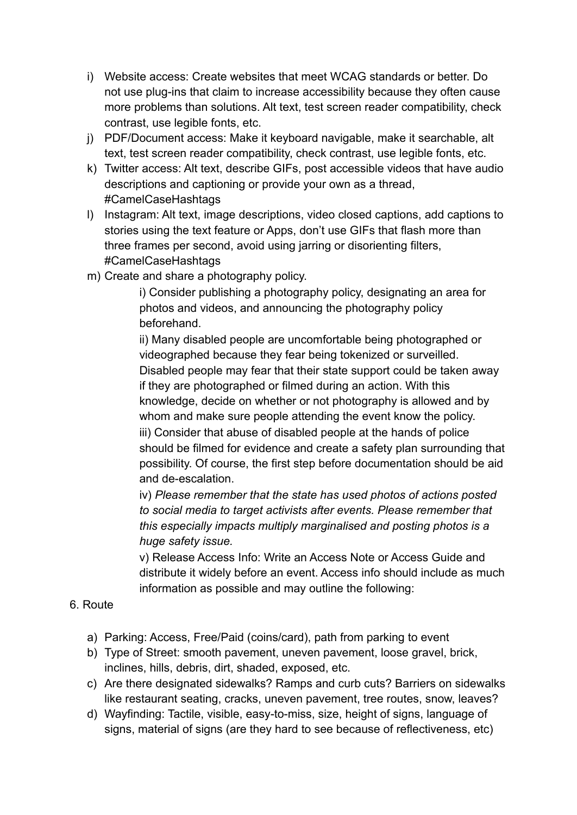- i) Website access: Create websites that meet WCAG standards or better. Do not use plug-ins that claim to increase accessibility because they often cause more problems than solutions. Alt text, test screen reader compatibility, check contrast, use legible fonts, etc.
- j) PDF/Document access: Make it keyboard navigable, make it searchable, alt text, test screen reader compatibility, check contrast, use legible fonts, etc.
- k) Twitter access: Alt text, describe GIFs, post accessible videos that have audio descriptions and captioning or provide your own as a thread, #CamelCaseHashtags
- l) Instagram: Alt text, image descriptions, video closed captions, add captions to stories using the text feature or Apps, don't use GIFs that flash more than three frames per second, avoid using jarring or disorienting filters, #CamelCaseHashtags
- m) Create and share a photography policy.

i) Consider publishing a photography policy, designating an area for photos and videos, and announcing the photography policy beforehand.

ii) Many disabled people are uncomfortable being photographed or videographed because they fear being tokenized or surveilled. Disabled people may fear that their state support could be taken away if they are photographed or filmed during an action. With this knowledge, decide on whether or not photography is allowed and by whom and make sure people attending the event know the policy. iii) Consider that abuse of disabled people at the hands of police should be filmed for evidence and create a safety plan surrounding that possibility. Of course, the first step before documentation should be aid and de-escalation.

iv) *Please remember that the state has used photos of actions posted to social media to target activists after events. Please remember that this especially impacts multiply marginalised and posting photos is a huge safety issue.*

v) Release Access Info: Write an Access Note or Access Guide and distribute it widely before an event. Access info should include as much information as possible and may outline the following:

#### 6. Route

- a) Parking: Access, Free/Paid (coins/card), path from parking to event
- b) Type of Street: smooth pavement, uneven pavement, loose gravel, brick, inclines, hills, debris, dirt, shaded, exposed, etc.
- c) Are there designated sidewalks? Ramps and curb cuts? Barriers on sidewalks like restaurant seating, cracks, uneven pavement, tree routes, snow, leaves?
- d) Wayfinding: Tactile, visible, easy-to-miss, size, height of signs, language of signs, material of signs (are they hard to see because of reflectiveness, etc)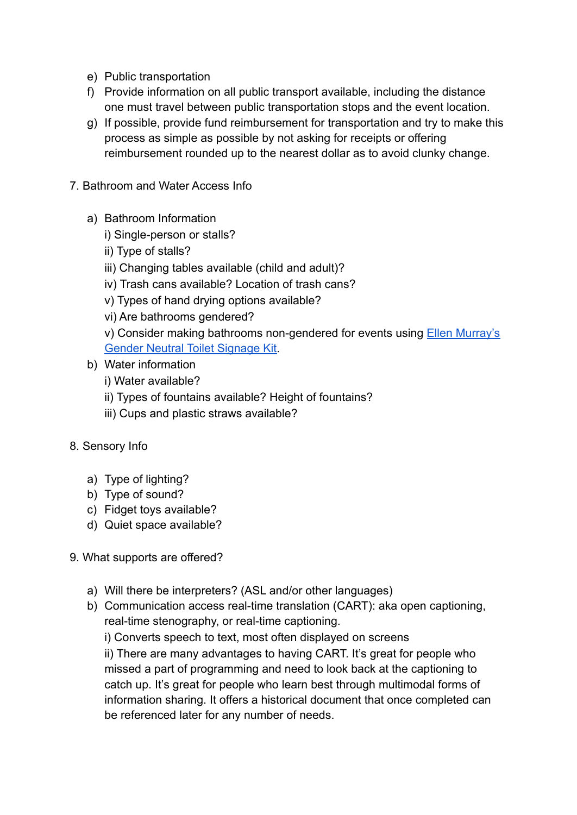- e) Public transportation
- f) Provide information on all public transport available, including the distance one must travel between public transportation stops and the event location.
- g) If possible, provide fund reimbursement for transportation and try to make this process as simple as possible by not asking for receipts or offering reimbursement rounded up to the nearest dollar as to avoid clunky change.
- 7. Bathroom and Water Access Info
	- a) Bathroom Information
		- i) Single-person or stalls?
		- ii) Type of stalls?
		- iii) Changing tables available (child and adult)?
		- iv) Trash cans available? Location of trash cans?
		- v) Types of hand drying options available?
		- vi) Are bathrooms gendered?
		- v) Consider making bathrooms non-gendered for events using [Ellen Murray's](https://ellenfromnowon.co.uk/accessible/) [Gender Neutral Toilet Signage Kit](https://ellenfromnowon.co.uk/accessible/).
	- b) Water information
		- i) Water available?
		- ii) Types of fountains available? Height of fountains?
		- iii) Cups and plastic straws available?
- 8. Sensory Info
	- a) Type of lighting?
	- b) Type of sound?
	- c) Fidget toys available?
	- d) Quiet space available?
- 9. What supports are offered?
	- a) Will there be interpreters? (ASL and/or other languages)
	- b) Communication access real-time translation (CART): aka open captioning, real-time stenography, or real-time captioning.

i) Converts speech to text, most often displayed on screens ii) There are many advantages to having CART. It's great for people who missed a part of programming and need to look back at the captioning to catch up. It's great for people who learn best through multimodal forms of information sharing. It offers a historical document that once completed can be referenced later for any number of needs.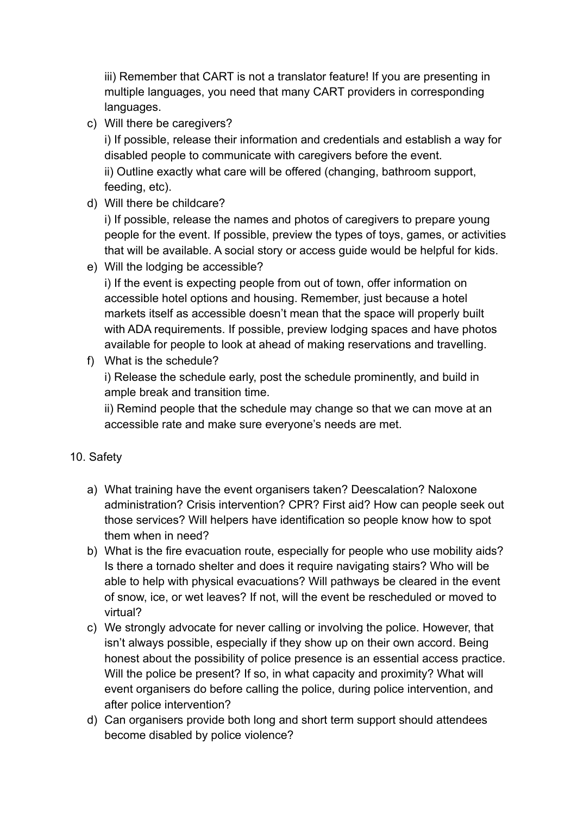iii) Remember that CART is not a translator feature! If you are presenting in multiple languages, you need that many CART providers in corresponding languages.

c) Will there be caregivers?

i) If possible, release their information and credentials and establish a way for disabled people to communicate with caregivers before the event. ii) Outline exactly what care will be offered (changing, bathroom support, feeding, etc).

d) Will there be childcare?

i) If possible, release the names and photos of caregivers to prepare young people for the event. If possible, preview the types of toys, games, or activities that will be available. A social story or access guide would be helpful for kids.

e) Will the lodging be accessible?

i) If the event is expecting people from out of town, offer information on accessible hotel options and housing. Remember, just because a hotel markets itself as accessible doesn't mean that the space will properly built with ADA requirements. If possible, preview lodging spaces and have photos available for people to look at ahead of making reservations and travelling.

f) What is the schedule?

i) Release the schedule early, post the schedule prominently, and build in ample break and transition time.

ii) Remind people that the schedule may change so that we can move at an accessible rate and make sure everyone's needs are met.

#### 10. Safety

- a) What training have the event organisers taken? Deescalation? Naloxone administration? Crisis intervention? CPR? First aid? How can people seek out those services? Will helpers have identification so people know how to spot them when in need?
- b) What is the fire evacuation route, especially for people who use mobility aids? Is there a tornado shelter and does it require navigating stairs? Who will be able to help with physical evacuations? Will pathways be cleared in the event of snow, ice, or wet leaves? If not, will the event be rescheduled or moved to virtual?
- c) We strongly advocate for never calling or involving the police. However, that isn't always possible, especially if they show up on their own accord. Being honest about the possibility of police presence is an essential access practice. Will the police be present? If so, in what capacity and proximity? What will event organisers do before calling the police, during police intervention, and after police intervention?
- d) Can organisers provide both long and short term support should attendees become disabled by police violence?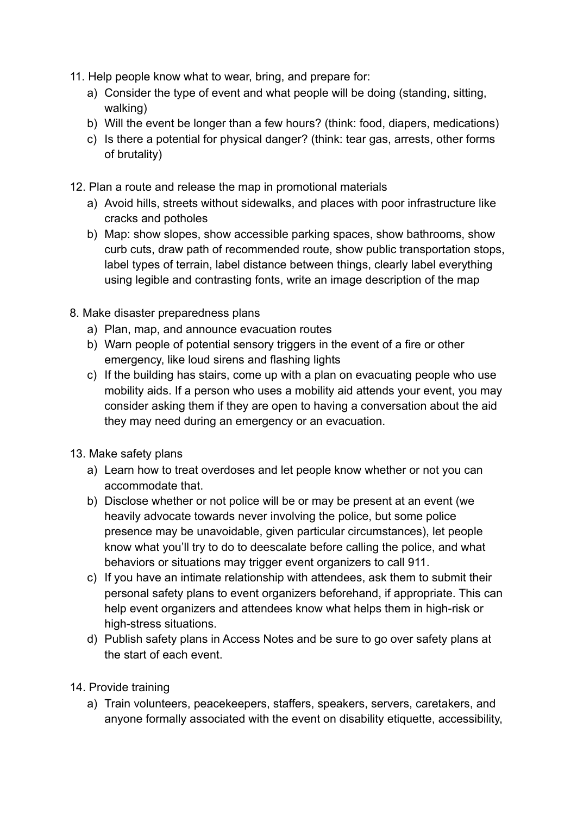- 11. Help people know what to wear, bring, and prepare for:
	- a) Consider the type of event and what people will be doing (standing, sitting, walking)
	- b) Will the event be longer than a few hours? (think: food, diapers, medications)
	- c) Is there a potential for physical danger? (think: tear gas, arrests, other forms of brutality)
- 12. Plan a route and release the map in promotional materials
	- a) Avoid hills, streets without sidewalks, and places with poor infrastructure like cracks and potholes
	- b) Map: show slopes, show accessible parking spaces, show bathrooms, show curb cuts, draw path of recommended route, show public transportation stops, label types of terrain, label distance between things, clearly label everything using legible and contrasting fonts, write an image description of the map
- 8. Make disaster preparedness plans
	- a) Plan, map, and announce evacuation routes
	- b) Warn people of potential sensory triggers in the event of a fire or other emergency, like loud sirens and flashing lights
	- c) If the building has stairs, come up with a plan on evacuating people who use mobility aids. If a person who uses a mobility aid attends your event, you may consider asking them if they are open to having a conversation about the aid they may need during an emergency or an evacuation.
- 13. Make safety plans
	- a) Learn how to treat overdoses and let people know whether or not you can accommodate that.
	- b) Disclose whether or not police will be or may be present at an event (we heavily advocate towards never involving the police, but some police presence may be unavoidable, given particular circumstances), let people know what you'll try to do to deescalate before calling the police, and what behaviors or situations may trigger event organizers to call 911.
	- c) If you have an intimate relationship with attendees, ask them to submit their personal safety plans to event organizers beforehand, if appropriate. This can help event organizers and attendees know what helps them in high-risk or high-stress situations.
	- d) Publish safety plans in Access Notes and be sure to go over safety plans at the start of each event.
- 14. Provide training
	- a) Train volunteers, peacekeepers, staffers, speakers, servers, caretakers, and anyone formally associated with the event on disability etiquette, accessibility,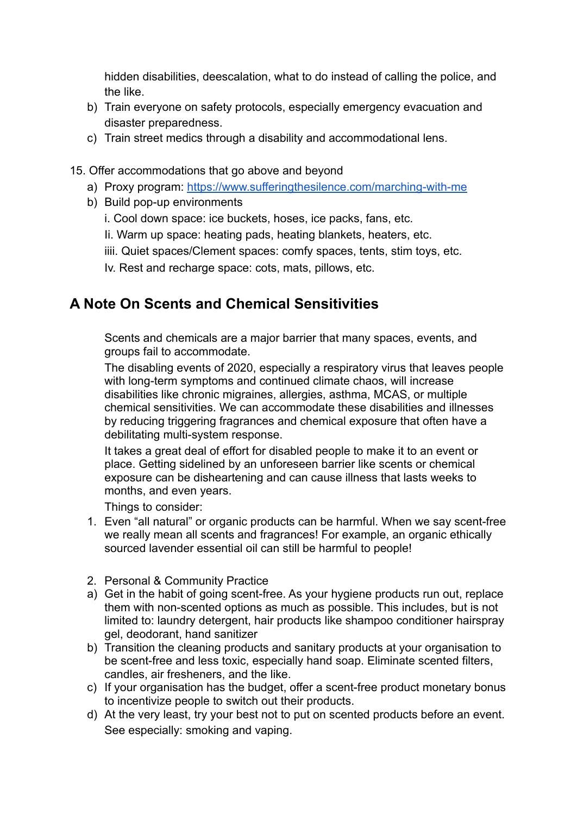hidden disabilities, deescalation, what to do instead of calling the police, and the like.

- b) Train everyone on safety protocols, especially emergency evacuation and disaster preparedness.
- c) Train street medics through a disability and accommodational lens.
- 15. Offer accommodations that go above and beyond
	- a) Proxy program: <https://www.sufferingthesilence.com/marching-with-me>
	- b) Build pop-up environments
		- i. Cool down space: ice buckets, hoses, ice packs, fans, etc.
		- Ii. Warm up space: heating pads, heating blankets, heaters, etc.
		- iiii. Quiet spaces/Clement spaces: comfy spaces, tents, stim toys, etc.
		- Iv. Rest and recharge space: cots, mats, pillows, etc.

# **A Note On Scents and Chemical Sensitivities**

Scents and chemicals are a major barrier that many spaces, events, and groups fail to accommodate.

The disabling events of 2020, especially a respiratory virus that leaves people with long-term symptoms and continued climate chaos, will increase disabilities like chronic migraines, allergies, asthma, MCAS, or multiple chemical sensitivities. We can accommodate these disabilities and illnesses by reducing triggering fragrances and chemical exposure that often have a debilitating multi-system response.

It takes a great deal of effort for disabled people to make it to an event or place. Getting sidelined by an unforeseen barrier like scents or chemical exposure can be disheartening and can cause illness that lasts weeks to months, and even years.

Things to consider:

- 1. Even "all natural" or organic products can be harmful. When we say scent-free we really mean all scents and fragrances! For example, an organic ethically sourced lavender essential oil can still be harmful to people!
- 2. Personal & Community Practice
- a) Get in the habit of going scent-free. As your hygiene products run out, replace them with non-scented options as much as possible. This includes, but is not limited to: laundry detergent, hair products like shampoo conditioner hairspray gel, deodorant, hand sanitizer
- b) Transition the cleaning products and sanitary products at your organisation to be scent-free and less toxic, especially hand soap. Eliminate scented filters, candles, air fresheners, and the like.
- c) If your organisation has the budget, offer a scent-free product monetary bonus to incentivize people to switch out their products.
- d) At the very least, try your best not to put on scented products before an event. See especially: smoking and vaping.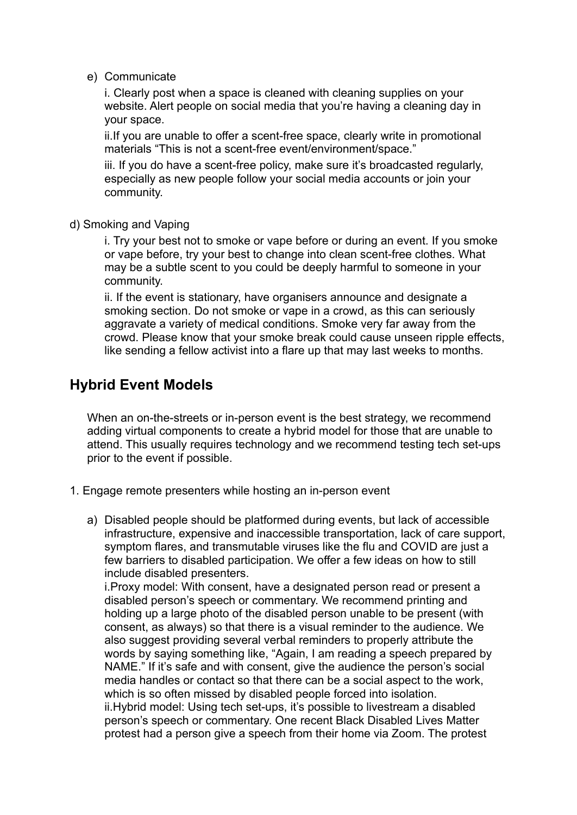e) Communicate

i. Clearly post when a space is cleaned with cleaning supplies on your website. Alert people on social media that you're having a cleaning day in your space.

ii.If you are unable to offer a scent-free space, clearly write in promotional materials "This is not a scent-free event/environment/space."

iii. If you do have a scent-free policy, make sure it's broadcasted regularly, especially as new people follow your social media accounts or join your community.

d) Smoking and Vaping

i. Try your best not to smoke or vape before or during an event. If you smoke or vape before, try your best to change into clean scent-free clothes. What may be a subtle scent to you could be deeply harmful to someone in your community.

ii. If the event is stationary, have organisers announce and designate a smoking section. Do not smoke or vape in a crowd, as this can seriously aggravate a variety of medical conditions. Smoke very far away from the crowd. Please know that your smoke break could cause unseen ripple effects, like sending a fellow activist into a flare up that may last weeks to months.

### **Hybrid Event Models**

When an on-the-streets or in-person event is the best strategy, we recommend adding virtual components to create a hybrid model for those that are unable to attend. This usually requires technology and we recommend testing tech set-ups prior to the event if possible.

- 1. Engage remote presenters while hosting an in-person event
	- a) Disabled people should be platformed during events, but lack of accessible infrastructure, expensive and inaccessible transportation, lack of care support, symptom flares, and transmutable viruses like the flu and COVID are just a few barriers to disabled participation. We offer a few ideas on how to still include disabled presenters.

i.Proxy model: With consent, have a designated person read or present a disabled person's speech or commentary. We recommend printing and holding up a large photo of the disabled person unable to be present (with consent, as always) so that there is a visual reminder to the audience. We also suggest providing several verbal reminders to properly attribute the words by saying something like, "Again, I am reading a speech prepared by NAME." If it's safe and with consent, give the audience the person's social media handles or contact so that there can be a social aspect to the work, which is so often missed by disabled people forced into isolation. ii.Hybrid model: Using tech set-ups, it's possible to livestream a disabled person's speech or commentary. One recent Black Disabled Lives Matter protest had a person give a speech from their home via Zoom. The protest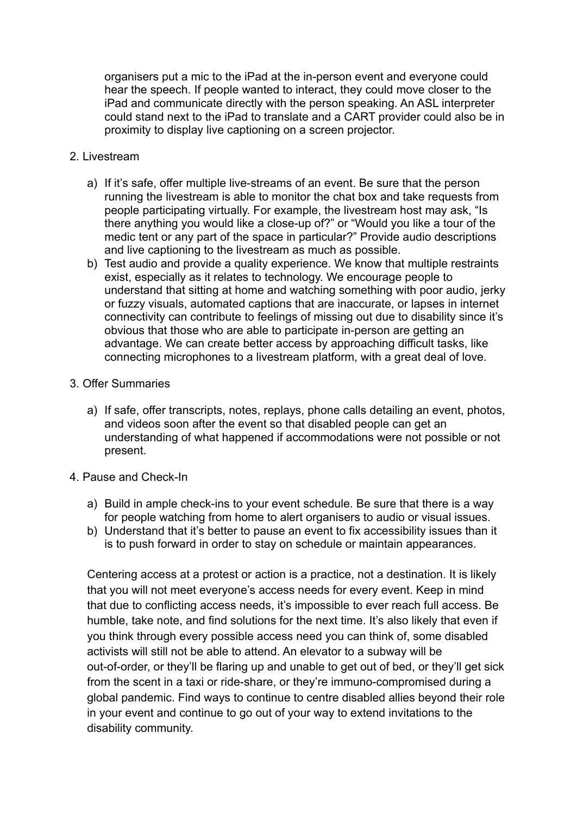organisers put a mic to the iPad at the in-person event and everyone could hear the speech. If people wanted to interact, they could move closer to the iPad and communicate directly with the person speaking. An ASL interpreter could stand next to the iPad to translate and a CART provider could also be in proximity to display live captioning on a screen projector.

#### 2. Livestream

- a) If it's safe, offer multiple live-streams of an event. Be sure that the person running the livestream is able to monitor the chat box and take requests from people participating virtually. For example, the livestream host may ask, "Is there anything you would like a close-up of?" or "Would you like a tour of the medic tent or any part of the space in particular?" Provide audio descriptions and live captioning to the livestream as much as possible.
- b) Test audio and provide a quality experience. We know that multiple restraints exist, especially as it relates to technology. We encourage people to understand that sitting at home and watching something with poor audio, jerky or fuzzy visuals, automated captions that are inaccurate, or lapses in internet connectivity can contribute to feelings of missing out due to disability since it's obvious that those who are able to participate in-person are getting an advantage. We can create better access by approaching difficult tasks, like connecting microphones to a livestream platform, with a great deal of love.

#### 3. Offer Summaries

a) If safe, offer transcripts, notes, replays, phone calls detailing an event, photos, and videos soon after the event so that disabled people can get an understanding of what happened if accommodations were not possible or not present.

#### 4. Pause and Check-In

- a) Build in ample check-ins to your event schedule. Be sure that there is a way for people watching from home to alert organisers to audio or visual issues.
- b) Understand that it's better to pause an event to fix accessibility issues than it is to push forward in order to stay on schedule or maintain appearances.

Centering access at a protest or action is a practice, not a destination. It is likely that you will not meet everyone's access needs for every event. Keep in mind that due to conflicting access needs, it's impossible to ever reach full access. Be humble, take note, and find solutions for the next time. It's also likely that even if you think through every possible access need you can think of, some disabled activists will still not be able to attend. An elevator to a subway will be out-of-order, or they'll be flaring up and unable to get out of bed, or they'll get sick from the scent in a taxi or ride-share, or they're immuno-compromised during a global pandemic. Find ways to continue to centre disabled allies beyond their role in your event and continue to go out of your way to extend invitations to the disability community.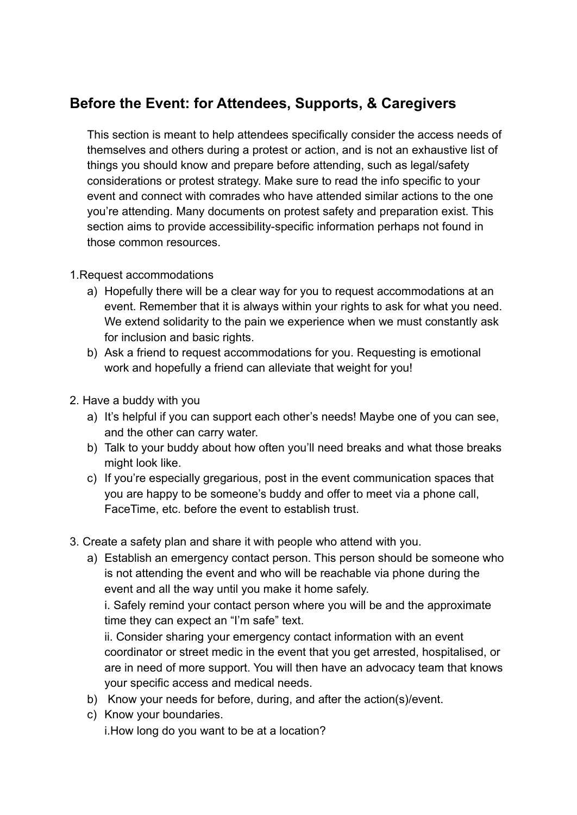# **Before the Event: for Attendees, Supports, & Caregivers**

This section is meant to help attendees specifically consider the access needs of themselves and others during a protest or action, and is not an exhaustive list of things you should know and prepare before attending, such as legal/safety considerations or protest strategy. Make sure to read the info specific to your event and connect with comrades who have attended similar actions to the one you're attending. Many documents on protest safety and preparation exist. This section aims to provide accessibility-specific information perhaps not found in those common resources.

#### 1.Request accommodations

- a) Hopefully there will be a clear way for you to request accommodations at an event. Remember that it is always within your rights to ask for what you need. We extend solidarity to the pain we experience when we must constantly ask for inclusion and basic rights.
- b) Ask a friend to request accommodations for you. Requesting is emotional work and hopefully a friend can alleviate that weight for you!
- 2. Have a buddy with you
	- a) It's helpful if you can support each other's needs! Maybe one of you can see, and the other can carry water.
	- b) Talk to your buddy about how often you'll need breaks and what those breaks might look like.
	- c) If you're especially gregarious, post in the event communication spaces that you are happy to be someone's buddy and offer to meet via a phone call, FaceTime, etc. before the event to establish trust.
- 3. Create a safety plan and share it with people who attend with you.
	- a) Establish an emergency contact person. This person should be someone who is not attending the event and who will be reachable via phone during the event and all the way until you make it home safely.

i. Safely remind your contact person where you will be and the approximate time they can expect an "I'm safe" text.

ii. Consider sharing your emergency contact information with an event coordinator or street medic in the event that you get arrested, hospitalised, or are in need of more support. You will then have an advocacy team that knows your specific access and medical needs.

- b) Know your needs for before, during, and after the action(s)/event.
- c) Know your boundaries. i.How long do you want to be at a location?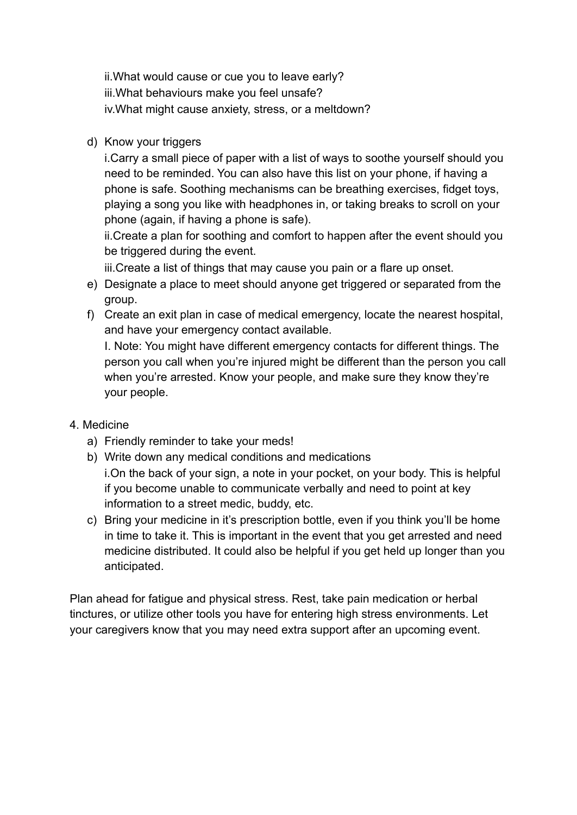ii.What would cause or cue you to leave early? iii.What behaviours make you feel unsafe? iv.What might cause anxiety, stress, or a meltdown?

d) Know your triggers

i.Carry a small piece of paper with a list of ways to soothe yourself should you need to be reminded. You can also have this list on your phone, if having a phone is safe. Soothing mechanisms can be breathing exercises, fidget toys, playing a song you like with headphones in, or taking breaks to scroll on your phone (again, if having a phone is safe).

ii.Create a plan for soothing and comfort to happen after the event should you be triggered during the event.

iii.Create a list of things that may cause you pain or a flare up onset.

- e) Designate a place to meet should anyone get triggered or separated from the group.
- f) Create an exit plan in case of medical emergency, locate the nearest hospital, and have your emergency contact available.

I. Note: You might have different emergency contacts for different things. The person you call when you're injured might be different than the person you call when you're arrested. Know your people, and make sure they know they're your people.

- 4. Medicine
	- a) Friendly reminder to take your meds!
	- b) Write down any medical conditions and medications

i.On the back of your sign, a note in your pocket, on your body. This is helpful if you become unable to communicate verbally and need to point at key information to a street medic, buddy, etc.

c) Bring your medicine in it's prescription bottle, even if you think you'll be home in time to take it. This is important in the event that you get arrested and need medicine distributed. It could also be helpful if you get held up longer than you anticipated.

Plan ahead for fatigue and physical stress. Rest, take pain medication or herbal tinctures, or utilize other tools you have for entering high stress environments. Let your caregivers know that you may need extra support after an upcoming event.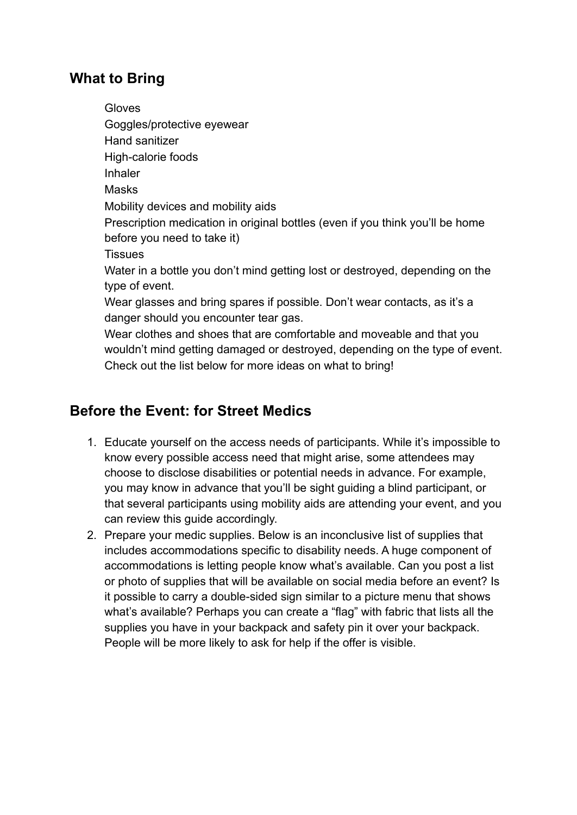### **What to Bring**

Gloves Goggles/protective eyewear Hand sanitizer High-calorie foods Inhaler Masks Mobility devices and mobility aids Prescription medication in original bottles (even if you think you'll be home before you need to take it) **Tissues** Water in a bottle you don't mind getting lost or destroyed, depending on the type of event. Wear glasses and bring spares if possible. Don't wear contacts, as it's a danger should you encounter tear gas. Wear clothes and shoes that are comfortable and moveable and that you wouldn't mind getting damaged or destroyed, depending on the type of event. Check out the list below for more ideas on what to bring!

# **Before the Event: for Street Medics**

- 1. Educate yourself on the access needs of participants. While it's impossible to know every possible access need that might arise, some attendees may choose to disclose disabilities or potential needs in advance. For example, you may know in advance that you'll be sight guiding a blind participant, or that several participants using mobility aids are attending your event, and you can review this guide accordingly.
- 2. Prepare your medic supplies. Below is an inconclusive list of supplies that includes accommodations specific to disability needs. A huge component of accommodations is letting people know what's available. Can you post a list or photo of supplies that will be available on social media before an event? Is it possible to carry a double-sided sign similar to a picture menu that shows what's available? Perhaps you can create a "flag" with fabric that lists all the supplies you have in your backpack and safety pin it over your backpack. People will be more likely to ask for help if the offer is visible.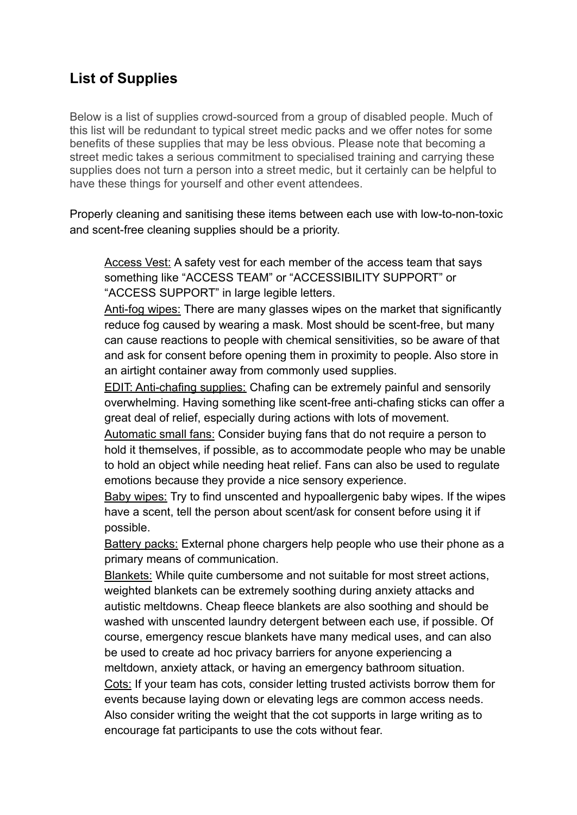# **List of Supplies**

Below is a list of supplies crowd-sourced from a group of disabled people. Much of this list will be redundant to typical street medic packs and we offer notes for some benefits of these supplies that may be less obvious. Please note that becoming a street medic takes a serious commitment to specialised training and carrying these supplies does not turn a person into a street medic, but it certainly can be helpful to have these things for yourself and other event attendees.

Properly cleaning and sanitising these items between each use with low-to-non-toxic and scent-free cleaning supplies should be a priority.

Access Vest: A safety vest for each member of the access team that says something like "ACCESS TEAM" or "ACCESSIBILITY SUPPORT" or "ACCESS SUPPORT" in large legible letters.

Anti-fog wipes: There are many glasses wipes on the market that significantly reduce fog caused by wearing a mask. Most should be scent-free, but many can cause reactions to people with chemical sensitivities, so be aware of that and ask for consent before opening them in proximity to people. Also store in an airtight container away from commonly used supplies.

EDIT: Anti-chafing supplies: Chafing can be extremely painful and sensorily overwhelming. Having something like scent-free anti-chafing sticks can offer a great deal of relief, especially during actions with lots of movement.

Automatic small fans: Consider buying fans that do not require a person to hold it themselves, if possible, as to accommodate people who may be unable to hold an object while needing heat relief. Fans can also be used to regulate emotions because they provide a nice sensory experience.

Baby wipes: Try to find unscented and hypoallergenic baby wipes. If the wipes have a scent, tell the person about scent/ask for consent before using it if possible.

Battery packs: External phone chargers help people who use their phone as a primary means of communication.

Blankets: While quite cumbersome and not suitable for most street actions, weighted blankets can be extremely soothing during anxiety attacks and autistic meltdowns. Cheap fleece blankets are also soothing and should be washed with unscented laundry detergent between each use, if possible. Of course, emergency rescue blankets have many medical uses, and can also be used to create ad hoc privacy barriers for anyone experiencing a meltdown, anxiety attack, or having an emergency bathroom situation. Cots: If your team has cots, consider letting trusted activists borrow them for events because laying down or elevating legs are common access needs. Also consider writing the weight that the cot supports in large writing as to encourage fat participants to use the cots without fear.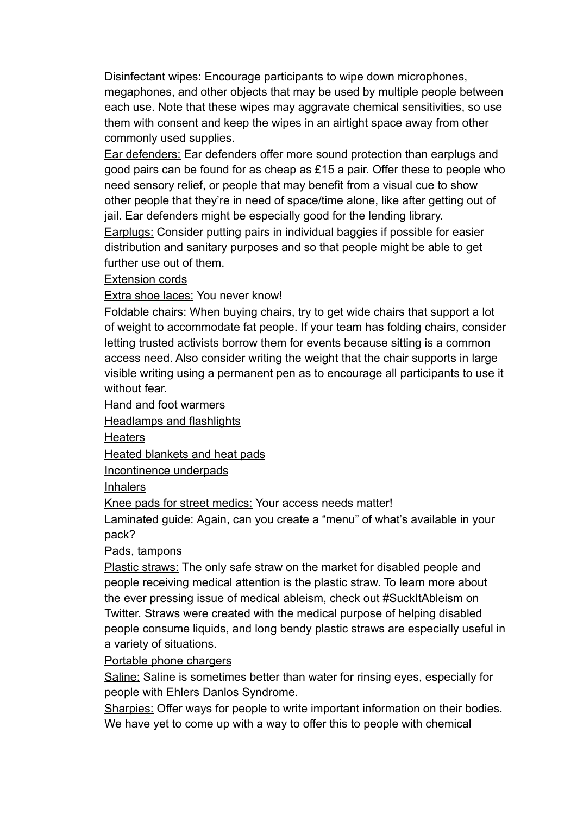Disinfectant wipes: Encourage participants to wipe down microphones, megaphones, and other objects that may be used by multiple people between each use. Note that these wipes may aggravate chemical sensitivities, so use them with consent and keep the wipes in an airtight space away from other commonly used supplies.

Ear defenders: Ear defenders offer more sound protection than earplugs and good pairs can be found for as cheap as £15 a pair. Offer these to people who need sensory relief, or people that may benefit from a visual cue to show other people that they're in need of space/time alone, like after getting out of jail. Ear defenders might be especially good for the lending library.

Earplugs: Consider putting pairs in individual baggies if possible for easier distribution and sanitary purposes and so that people might be able to get further use out of them.

Extension cords

Extra shoe laces: You never know!

Foldable chairs: When buying chairs, try to get wide chairs that support a lot of weight to accommodate fat people. If your team has folding chairs, consider letting trusted activists borrow them for events because sitting is a common access need. Also consider writing the weight that the chair supports in large visible writing using a permanent pen as to encourage all participants to use it without fear.

Hand and foot warmers

Headlamps and flashlights

**Heaters** 

Heated blankets and heat pads

Incontinence underpads

Inhalers

Knee pads for street medics: Your access needs matter!

Laminated guide: Again, can you create a "menu" of what's available in your pack?

Pads, tampons

Plastic straws: The only safe straw on the market for disabled people and people receiving medical attention is the plastic straw. To learn more about the ever pressing issue of medical ableism, check out #SuckItAbleism on Twitter. Straws were created with the medical purpose of helping disabled people consume liquids, and long bendy plastic straws are especially useful in a variety of situations.

Portable phone chargers

Saline: Saline is sometimes better than water for rinsing eyes, especially for people with Ehlers Danlos Syndrome.

Sharpies: Offer ways for people to write important information on their bodies. We have yet to come up with a way to offer this to people with chemical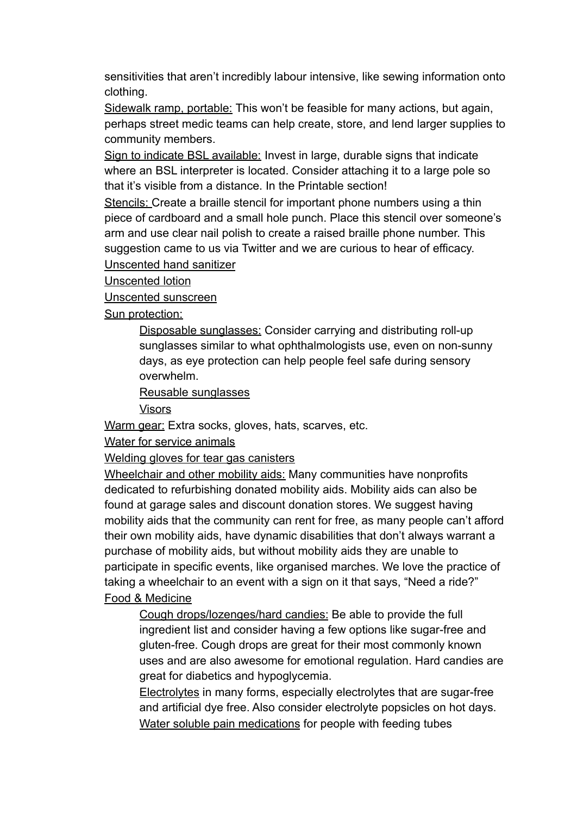sensitivities that aren't incredibly labour intensive, like sewing information onto clothing.

Sidewalk ramp, portable: This won't be feasible for many actions, but again, perhaps street medic teams can help create, store, and lend larger supplies to community members.

Sign to indicate BSL available: Invest in large, durable signs that indicate where an BSL interpreter is located. Consider attaching it to a large pole so that it's visible from a distance. In the Printable section!

Stencils: Create a braille stencil for important phone numbers using a thin piece of cardboard and a small hole punch. Place this stencil over someone's arm and use clear nail polish to create a raised braille phone number. This suggestion came to us via Twitter and we are curious to hear of efficacy.

Unscented hand sanitizer

Unscented lotion

Unscented sunscreen

Sun protection:

Disposable sunglasses: Consider carrying and distributing roll-up sunglasses similar to what ophthalmologists use, even on non-sunny days, as eye protection can help people feel safe during sensory overwhelm.

Reusable sunglasses

Visors

Warm gear: Extra socks, gloves, hats, scarves, etc.

Water for service animals

Welding gloves for tear gas canisters

Wheelchair and other mobility aids: Many communities have nonprofits dedicated to refurbishing donated mobility aids. Mobility aids can also be found at garage sales and discount donation stores. We suggest having mobility aids that the community can rent for free, as many people can't afford their own mobility aids, have dynamic disabilities that don't always warrant a purchase of mobility aids, but without mobility aids they are unable to participate in specific events, like organised marches. We love the practice of taking a wheelchair to an event with a sign on it that says, "Need a ride?" Food & Medicine

Cough drops/lozenges/hard candies: Be able to provide the full ingredient list and consider having a few options like sugar-free and gluten-free. Cough drops are great for their most commonly known uses and are also awesome for emotional regulation. Hard candies are great for diabetics and hypoglycemia.

Electrolytes in many forms, especially electrolytes that are sugar-free and artificial dye free. Also consider electrolyte popsicles on hot days. Water soluble pain medications for people with feeding tubes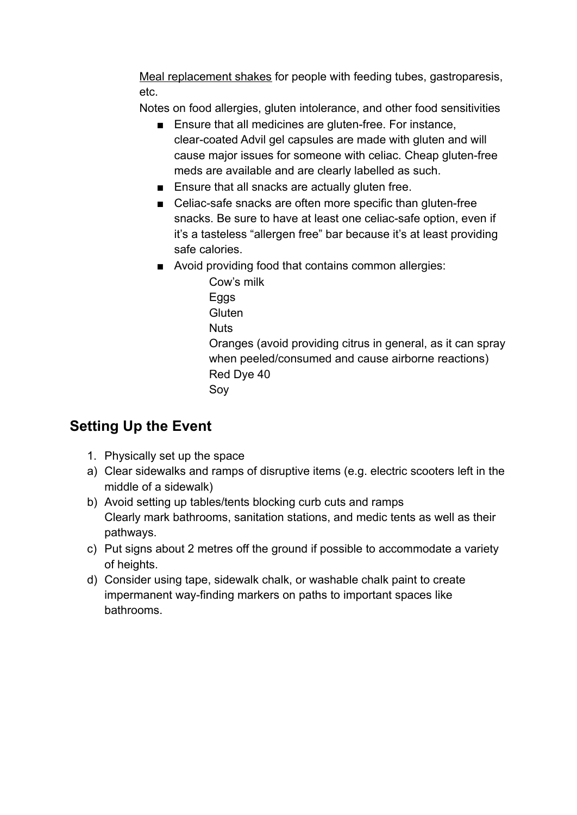Meal replacement shakes for people with feeding tubes, gastroparesis, etc.

Notes on food allergies, gluten intolerance, and other food sensitivities

- Ensure that all medicines are gluten-free. For instance, clear-coated Advil gel capsules are made with gluten and will cause major issues for someone with celiac. Cheap gluten-free meds are available and are clearly labelled as such.
- Ensure that all snacks are actually gluten free.
- Celiac-safe snacks are often more specific than gluten-free snacks. Be sure to have at least one celiac-safe option, even if it's a tasteless "allergen free" bar because it's at least providing safe calories.
- Avoid providing food that contains common allergies:
	- Cow's milk Eggs **Gluten Nuts** Oranges (avoid providing citrus in general, as it can spray when peeled/consumed and cause airborne reactions) Red Dye 40 Soy

# **Setting Up the Event**

- 1. Physically set up the space
- a) Clear sidewalks and ramps of disruptive items (e.g. electric scooters left in the middle of a sidewalk)
- b) Avoid setting up tables/tents blocking curb cuts and ramps Clearly mark bathrooms, sanitation stations, and medic tents as well as their pathways.
- c) Put signs about 2 metres off the ground if possible to accommodate a variety of heights.
- d) Consider using tape, sidewalk chalk, or washable chalk paint to create impermanent way-finding markers on paths to important spaces like bathrooms.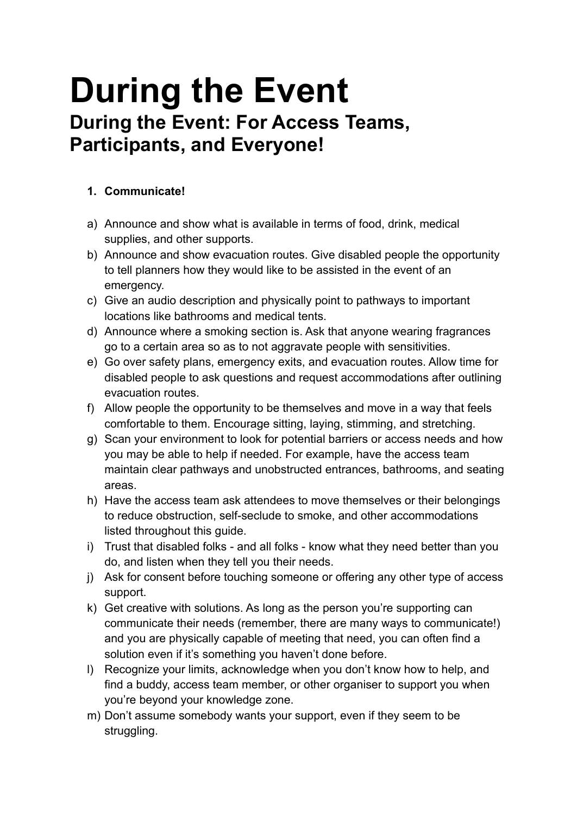# **During the Event During the Event: For Access Teams, Participants, and Everyone!**

### **1. Communicate!**

- a) Announce and show what is available in terms of food, drink, medical supplies, and other supports.
- b) Announce and show evacuation routes. Give disabled people the opportunity to tell planners how they would like to be assisted in the event of an emergency.
- c) Give an audio description and physically point to pathways to important locations like bathrooms and medical tents.
- d) Announce where a smoking section is. Ask that anyone wearing fragrances go to a certain area so as to not aggravate people with sensitivities.
- e) Go over safety plans, emergency exits, and evacuation routes. Allow time for disabled people to ask questions and request accommodations after outlining evacuation routes.
- f) Allow people the opportunity to be themselves and move in a way that feels comfortable to them. Encourage sitting, laying, stimming, and stretching.
- g) Scan your environment to look for potential barriers or access needs and how you may be able to help if needed. For example, have the access team maintain clear pathways and unobstructed entrances, bathrooms, and seating areas.
- h) Have the access team ask attendees to move themselves or their belongings to reduce obstruction, self-seclude to smoke, and other accommodations listed throughout this guide.
- i) Trust that disabled folks and all folks know what they need better than you do, and listen when they tell you their needs.
- j) Ask for consent before touching someone or offering any other type of access support.
- k) Get creative with solutions. As long as the person you're supporting can communicate their needs (remember, there are many ways to communicate!) and you are physically capable of meeting that need, you can often find a solution even if it's something you haven't done before.
- l) Recognize your limits, acknowledge when you don't know how to help, and find a buddy, access team member, or other organiser to support you when you're beyond your knowledge zone.
- m) Don't assume somebody wants your support, even if they seem to be struggling.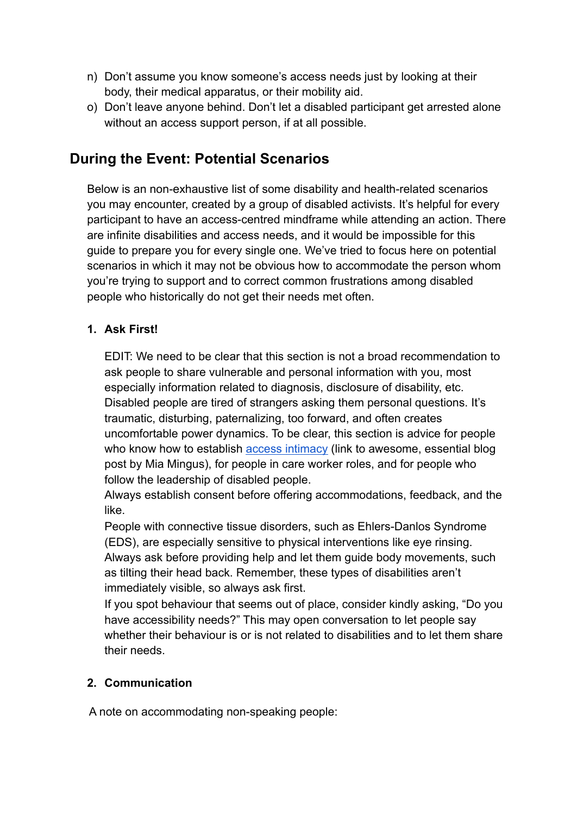- n) Don't assume you know someone's access needs just by looking at their body, their medical apparatus, or their mobility aid.
- o) Don't leave anyone behind. Don't let a disabled participant get arrested alone without an access support person, if at all possible.

# **During the Event: Potential Scenarios**

Below is an non-exhaustive list of some disability and health-related scenarios you may encounter, created by a group of disabled activists. It's helpful for every participant to have an access-centred mindframe while attending an action. There are infinite disabilities and access needs, and it would be impossible for this guide to prepare you for every single one. We've tried to focus here on potential scenarios in which it may not be obvious how to accommodate the person whom you're trying to support and to correct common frustrations among disabled people who historically do not get their needs met often.

#### **1. Ask First!**

EDIT: We need to be clear that this section is not a broad recommendation to ask people to share vulnerable and personal information with you, most especially information related to diagnosis, disclosure of disability, etc. Disabled people are tired of strangers asking them personal questions. It's traumatic, disturbing, paternalizing, too forward, and often creates uncomfortable power dynamics. To be clear, this section is advice for people who know how to establish **[access intimacy](https://leavingevidence.wordpress.com/2011/05/05/access-intimacy-the-missing-link/)** (link to awesome, essential blog post by Mia Mingus), for people in care worker roles, and for people who follow the leadership of disabled people.

Always establish consent before offering accommodations, feedback, and the like.

People with connective tissue disorders, such as Ehlers-Danlos Syndrome (EDS), are especially sensitive to physical interventions like eye rinsing. Always ask before providing help and let them guide body movements, such as tilting their head back. Remember, these types of disabilities aren't immediately visible, so always ask first.

If you spot behaviour that seems out of place, consider kindly asking, "Do you have accessibility needs?" This may open conversation to let people say whether their behaviour is or is not related to disabilities and to let them share their needs.

#### **2. Communication**

A note on accommodating non-speaking people: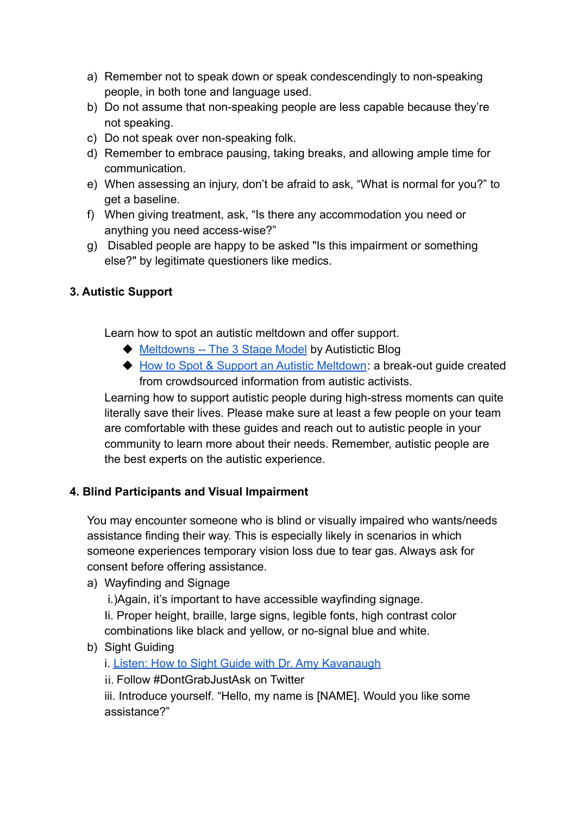- a) Remember not to speak down or speak condescendingly to non-speaking people, in both tone and language used.
- b) Do not assume that non-speaking people are less capable because they're not speaking.
- c) Do not speak over non-speaking folk.
- d) Remember to embrace pausing, taking breaks, and allowing ample time for communication.
- e) When assessing an injury, don't be afraid to ask, "What is normal for you?" to get a baseline.
- f) When giving treatment, ask, "Is there any accommodation you need or anything you need access-wise?"
- g) Disabled people are happy to be asked "Is this impairment or something else?" by legitimate questioners like medics.

#### **3. Autistic Support**

Learn how to spot an autistic meltdown and offer support.

- ◆ [Meltdowns -- The 3 Stage Model](https://autistictic.com/2019/03/23/meltdowns-the-three-stage-model/) by Autistictic Blog
- ◆ [How to Spot & Support an Autistic Meltdown](https://docs.google.com/document/d/1sGRvBNna3psktS7CkFpvzC-deMJWYUunO4e2MRM6uAU/edit?usp=sharing): a break-out guide created from crowdsourced information from autistic activists.

Learning how to support autistic people during high-stress moments can quite literally save their lives. Please make sure at least a few people on your team are comfortable with these guides and reach out to autistic people in your community to learn more about their needs. Remember, autistic people are the best experts on the autistic experience.

#### **4. Blind Participants and Visual Impairment**

You may encounter someone who is blind or visually impaired who wants/needs assistance finding their way. This is especially likely in scenarios in which someone experiences temporary vision loss due to tear gas. Always ask for consent before offering assistance.

a) Wayfinding and Signage

i.)Again, it's important to have accessible wayfinding signage.

Ii. Proper height, braille, large signs, legible fonts, high contrast color combinations like black and yellow, or no-signal blue and white.

b) Sight Guiding

i. [Listen: How to Sight Guide with Dr. Amy Kavanaugh](https://open.spotify.com/episode/7sXUvln8I3EP2f9iOaiVGb?si=nV3xT2NSSV2MfrL1EoOagw)

ii. Follow #DontGrabJustAsk on Twitter

iii. Introduce yourself. "Hello, my name is [NAME]. Would you like some assistance?"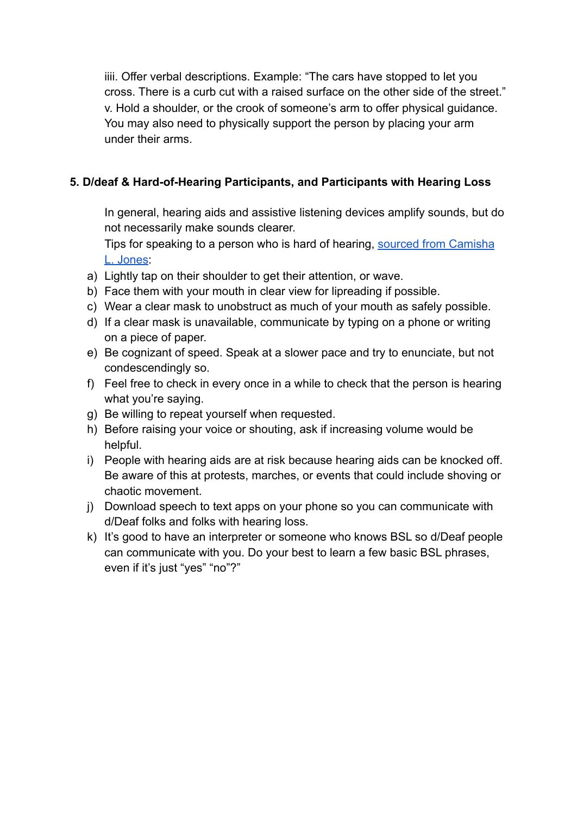iiii. Offer verbal descriptions. Example: "The cars have stopped to let you cross. There is a curb cut with a raised surface on the other side of the street." v. Hold a shoulder, or the crook of someone's arm to offer physical guidance. You may also need to physically support the person by placing your arm under their arms.

#### **5. D/deaf & Hard-of-Hearing Participants, and Participants with Hearing Loss**

In general, hearing aids and assistive listening devices amplify sounds, but do not necessarily make sounds clearer.

Tips for speaking to a person who is hard of hearing, [sourced from Camisha](http://www.vidaweb.org/conformitys-labor-tips-to-make-poetry-events-more-accessible-to-people-who-are-d-deaf-or-hard-of-hearing/) [L. Jones](http://www.vidaweb.org/conformitys-labor-tips-to-make-poetry-events-more-accessible-to-people-who-are-d-deaf-or-hard-of-hearing/):

- a) Lightly tap on their shoulder to get their attention, or wave.
- b) Face them with your mouth in clear view for lipreading if possible.
- c) Wear a clear mask to unobstruct as much of your mouth as safely possible.
- d) If a clear mask is unavailable, communicate by typing on a phone or writing on a piece of paper.
- e) Be cognizant of speed. Speak at a slower pace and try to enunciate, but not condescendingly so.
- f) Feel free to check in every once in a while to check that the person is hearing what you're saying.
- g) Be willing to repeat yourself when requested.
- h) Before raising your voice or shouting, ask if increasing volume would be helpful.
- i) People with hearing aids are at risk because hearing aids can be knocked off. Be aware of this at protests, marches, or events that could include shoving or chaotic movement.
- j) Download speech to text apps on your phone so you can communicate with d/Deaf folks and folks with hearing loss.
- k) It's good to have an interpreter or someone who knows BSL so d/Deaf people can communicate with you. Do your best to learn a few basic BSL phrases, even if it's just "yes" "no"?"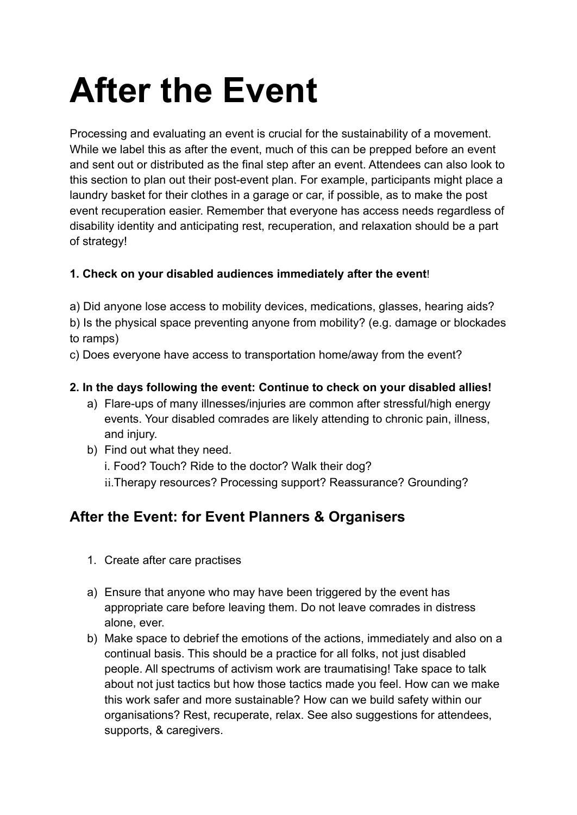# **After the Event**

Processing and evaluating an event is crucial for the sustainability of a movement. While we label this as after the event, much of this can be prepped before an event and sent out or distributed as the final step after an event. Attendees can also look to this section to plan out their post-event plan. For example, participants might place a laundry basket for their clothes in a garage or car, if possible, as to make the post event recuperation easier. Remember that everyone has access needs regardless of disability identity and anticipating rest, recuperation, and relaxation should be a part of strategy!

### **1. Check on your disabled audiences immediately after the event**!

a) Did anyone lose access to mobility devices, medications, glasses, hearing aids?

b) Is the physical space preventing anyone from mobility? (e.g. damage or blockades to ramps)

c) Does everyone have access to transportation home/away from the event?

#### **2. In the days following the event: Continue to check on your disabled allies!**

- a) Flare-ups of many illnesses/injuries are common after stressful/high energy events. Your disabled comrades are likely attending to chronic pain, illness, and injury.
- b) Find out what they need. i. Food? Touch? Ride to the doctor? Walk their dog? ii.Therapy resources? Processing support? Reassurance? Grounding?

# **After the Event: for Event Planners & Organisers**

- 1. Create after care practises
- a) Ensure that anyone who may have been triggered by the event has appropriate care before leaving them. Do not leave comrades in distress alone, ever.
- b) Make space to debrief the emotions of the actions, immediately and also on a continual basis. This should be a practice for all folks, not just disabled people. All spectrums of activism work are traumatising! Take space to talk about not just tactics but how those tactics made you feel. How can we make this work safer and more sustainable? How can we build safety within our organisations? Rest, recuperate, relax. See also suggestions for attendees, supports, & caregivers.